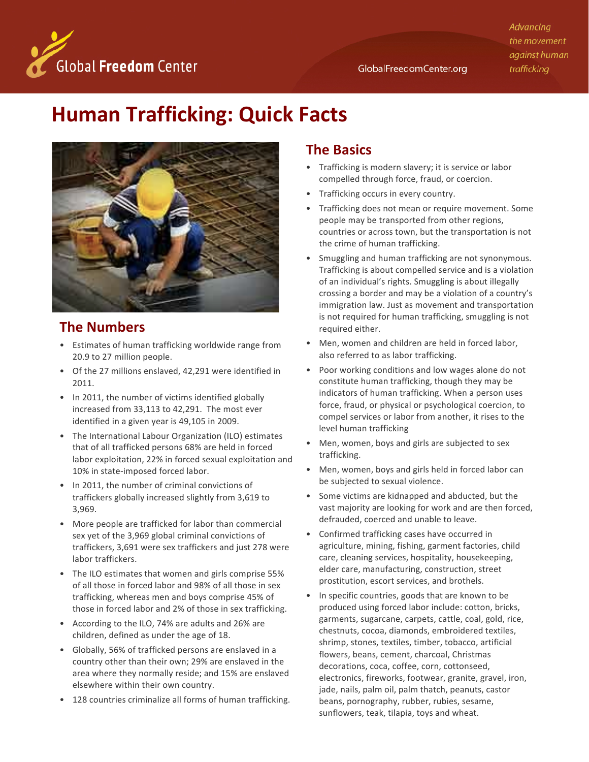Advancing the movement against human trafficking



# **Human Trafficking: Quick Facts**



## **The Numbers**

- Estimates of human trafficking worldwide range from 20.9 to 27 million people.
- Of the 27 millions enslaved, 42,291 were identified in 2011.  $2011.$
- In 2011, the number of victims identified globally increased from  $33,113$  to  $42,291$ . The most ever identified in a given year is 49,105 in 2009.
- The International Labour Organization (ILO) estimates that of all trafficked persons 68% are held in forced labor exploitation, 22% in forced sexual exploitation and  $10\%$  in state-imposed forced labor.
- In 2011, the number of criminal convictions of traffickers globally increased slightly from 3,619 to 3,969.
- $\bullet$  More people are trafficked for labor than commercial sex yet of the 3,969 global criminal convictions of traffickers, 3,691 were sex traffickers and just 278 were labor traffickers.
- The ILO estimates that women and girls comprise 55% of all those in forced labor and 98% of all those in sex trafficking, whereas men and boys comprise 45% of those in forced labor and 2% of those in sex trafficking.
- According to the ILO, 74% are adults and 26% are children, defined as under the age of 18.
- Globally, 56% of trafficked persons are enslaved in a country other than their own; 29% are enslaved in the area where they normally reside; and 15% are enslaved<br>clasurhare within their sum country. elsewhere within their own country.
- 128 countries criminalize all forms of human trafficking.

#### **The Basics**

- Trafficking is modern slavery; it is service or labor compelled through force, fraud, or coercion.
- Trafficking occurs in every country.
- Trafficking does not mean or require movement. Some people may be transported from other regions, countries or across town, but the transportation is not the crime of human trafficking.
- Smuggling and human trafficking are not synonymous. Trafficking is about compelled service and is a violation of an individual's rights. Smuggling is about illegally crossing a border and may be a violation of a country's immigration law. Just as movement and transportation is not required for human trafficking, smuggling is not required either.
- Men, women and children are held in forced labor, also referred to as labor trafficking.
- Poor working conditions and low wages alone do not constitute human trafficking, though they may be indicators of human trafficking. When a person uses force, fraud, or physical or psychological coercion, to compel services or labor from another, it rises to the level human trafficking
- Men, women, boys and girls are subjected to sex trafficking.
- Men, women, boys and girls held in forced labor can be subjected to sexual violence.
- Some victims are kidnapped and abducted, but the vast majority are looking for work and are then forced, defrauded, coerced and unable to leave.
- Confirmed trafficking cases have occurred in agriculture, mining, fishing, garment factories, child care, cleaning services, hospitality, housekeeping, elder care, manufacturing, construction, street prostitution, escort services, and brothels.
- In specific countries, goods that are known to be produced using forced labor include: cotton, bricks, garments, sugarcane, carpets, cattle, coal, gold, rice, chestnuts, cocoa, diamonds, embroidered textiles, shrimp, stones, textiles, timber, tobacco, artificial flowers, beans, cement, charcoal, Christmas decorations, coca, coffee, corn, cottonseed, electronics, fireworks, footwear, granite, gravel, iron, jade, nails, palm oil, palm thatch, peanuts, castor beans, pornography, rubber, rubies, sesame, sunflowers, teak, tilapia, toys and wheat.